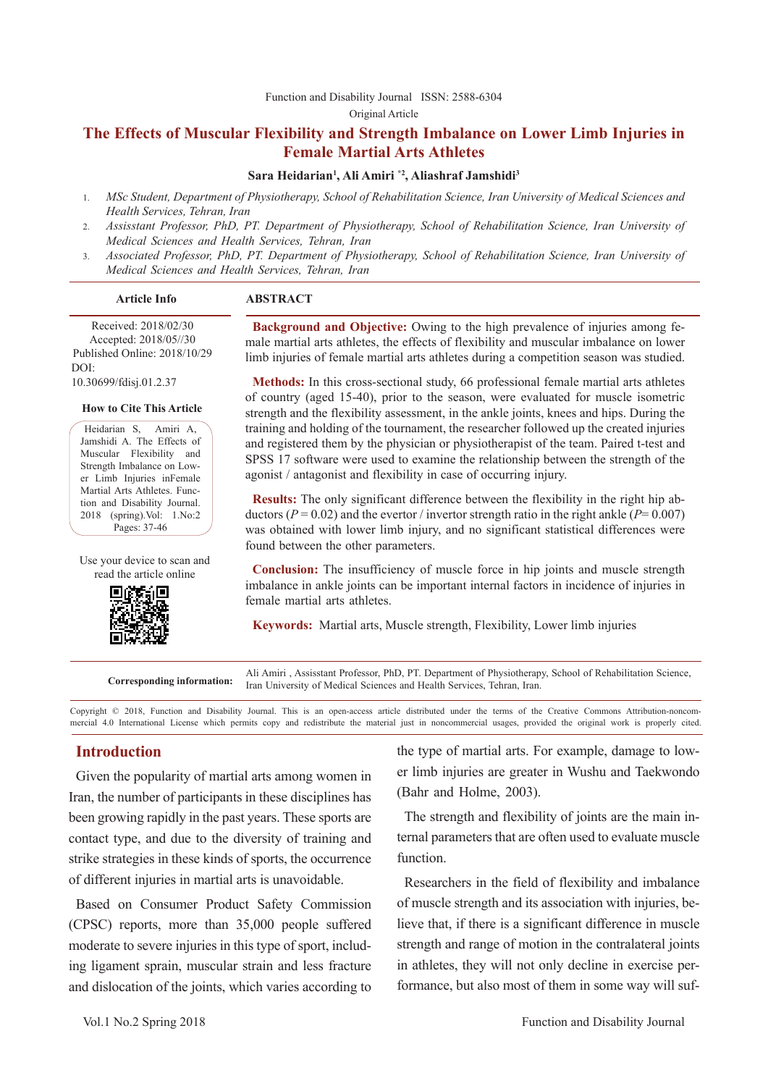#### [Function and Disability Journal ISSN: 2588-6304](http://fdj.iums.ac.ir/index.php?&slct_pg_id=10&sid=1&slc_lang=en)  Original Article

# **The Effects of Muscular Flexibility and Strength Imbalance on Lower Limb Injuries in Female Martial Arts Athletes**

#### **Sara Heidarian1 , Ali Amiri \*2, Aliashraf Jamshidi3**

- 1. *MSc Student, Department of Physiotherapy, School of Rehabilitation Science, Iran University of Medical Sciences and Health Services, Tehran, Iran*
- 2. *Assisstant Professor, PhD, PT. Department of Physiotherapy, School of Rehabilitation Science, Iran University of Medical Sciences and Health Services, Tehran, Iran*
- 3. *Associated Professor, PhD, PT. Department of Physiotherapy, School of Rehabilitation Science, Iran University of Medical Sciences and Health Services, Tehran, Iran*

#### **Article Info ABSTRACT**

 Received: 2018/02/30 Accepted: 2018/05//30 Published Online: 2018/10/29 DOI: 10.30699/fdisj.01.2.37

#### **How to Cite This Article**

Heidarian S, Amiri A, Jamshidi A. The Effects of Muscular Flexibility and Strength Imbalance on Lower Limb Injuries inFemale Martial Arts Athletes. Function and Disability Journal. 2018 (spring).Vol: 1.No:2 Pages: 37-46

Use your device to scan and read the article online



**Background and Objective:** Owing to the high prevalence of injuries among female martial arts athletes, the effects of flexibility and muscular imbalance on lower limb injuries of female martial arts athletes during a competition season was studied.

**Methods:** In this cross-sectional study, 66 professional female martial arts athletes of country (aged 15-40), prior to the season, were evaluated for muscle isometric strength and the flexibility assessment, in the ankle joints, knees and hips. During the training and holding of the tournament, the researcher followed up the created injuries and registered them by the physician or physiotherapist of the team. Paired t-test and SPSS 17 software were used to examine the relationship between the strength of the agonist / antagonist and flexibility in case of occurring injury.

**Results:** The only significant difference between the flexibility in the right hip abductors ( $P = 0.02$ ) and the evertor / invertor strength ratio in the right ankle ( $P = 0.007$ ) was obtained with lower limb injury, and no significant statistical differences were found between the other parameters.

**Conclusion:** The insufficiency of muscle force in hip joints and muscle strength imbalance in ankle joints can be important internal factors in incidence of injuries in female martial arts athletes.

**Keywords:** Martial arts, Muscle strength, Flexibility, Lower limb injuries

**Corresponding information:** Ali Amiri , Assisstant Professor, PhD, PT. Department of Physiotherapy, School of Rehabilitation Science, Iran University of Medical Sciences and Health Services, Tehran, Iran.

Copyright © 2018, Function and Disability Journal. This is an open-access article distributed under the terms of the Creative Commons Attribution-noncommercial 4.0 International License which permits copy and redistribute the material just in noncommercial usages, provided the original work is properly cited.

# **Introduction**

Given the popularity of martial arts among women in Iran, the number of participants in these disciplines has been growing rapidly in the past years. These sports are contact type, and due to the diversity of training and strike strategies in these kinds of sports, the occurrence of different injuries in martial arts is unavoidable.

Based on Consumer Product Safety Commission (CPSC) reports, more than 35,000 people suffered moderate to severe injuries in this type of sport, including ligament sprain, muscular strain and less fracture and dislocation of the joints, which varies according to the type of martial arts. For example, damage to lower limb injuries are greater in Wushu and Taekwondo (Bahr and Holme, 2003).

The strength and flexibility of joints are the main internal parameters that are often used to evaluate muscle function.

Researchers in the field of flexibility and imbalance of muscle strength and its association with injuries, believe that, if there is a significant difference in muscle strength and range of motion in the contralateral joints in athletes, they will not only decline in exercise performance, but also most of them in some way will suf-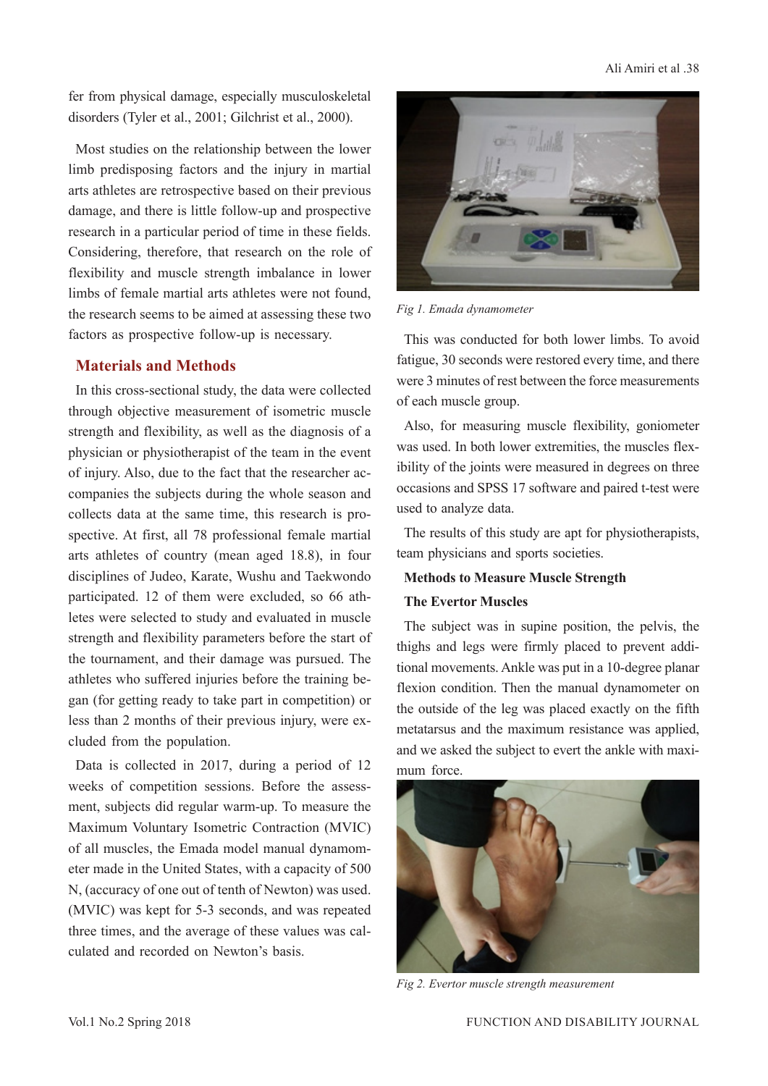#### Ali Amiri et al .38

fer from physical damage, especially musculoskeletal disorders (Tyler et al., 2001; Gilchrist et al., 2000).

Most studies on the relationship between the lower limb predisposing factors and the injury in martial arts athletes are retrospective based on their previous damage, and there is little follow-up and prospective research in a particular period of time in these fields. Considering, therefore, that research on the role of flexibility and muscle strength imbalance in lower limbs of female martial arts athletes were not found, the research seems to be aimed at assessing these two factors as prospective follow-up is necessary.

# **Materials and Methods**

In this cross-sectional study, the data were collected through objective measurement of isometric muscle strength and flexibility, as well as the diagnosis of a physician or physiotherapist of the team in the event of injury. Also, due to the fact that the researcher accompanies the subjects during the whole season and collects data at the same time, this research is prospective. At first, all 78 professional female martial arts athletes of country (mean aged 18.8), in four disciplines of Judeo, Karate, Wushu and Taekwondo participated. 12 of them were excluded, so 66 athletes were selected to study and evaluated in muscle strength and flexibility parameters before the start of the tournament, and their damage was pursued. The athletes who suffered injuries before the training began (for getting ready to take part in competition) or less than 2 months of their previous injury, were excluded from the population.

Data is collected in 2017, during a period of 12 weeks of competition sessions. Before the assessment, subjects did regular warm-up. To measure the Maximum Voluntary Isometric Contraction (MVIC) of all muscles, the Emada model manual dynamometer made in the United States, with a capacity of 500 N, (accuracy of one out of tenth of Newton) was used. (MVIC) was kept for 5-3 seconds, and was repeated three times, and the average of these values was calculated and recorded on Newton's basis.



*Fig 1. Emada dynamometer*

This was conducted for both lower limbs. To avoid fatigue, 30 seconds were restored every time, and there were 3 minutes of rest between the force measurements of each muscle group.

Also, for measuring muscle flexibility, goniometer was used. In both lower extremities, the muscles flexibility of the joints were measured in degrees on three occasions and SPSS 17 software and paired t-test were used to analyze data.

The results of this study are apt for physiotherapists, team physicians and sports societies.

# **Methods to Measure Muscle Strength**

#### **The Evertor Muscles**

The subject was in supine position, the pelvis, the thighs and legs were firmly placed to prevent additional movements. Ankle was put in a 10-degree planar flexion condition. Then the manual dynamometer on the outside of the leg was placed exactly on the fifth metatarsus and the maximum resistance was applied, and we asked the subject to evert the ankle with maximum force.



*Fig 2. Evertor muscle strength measurement*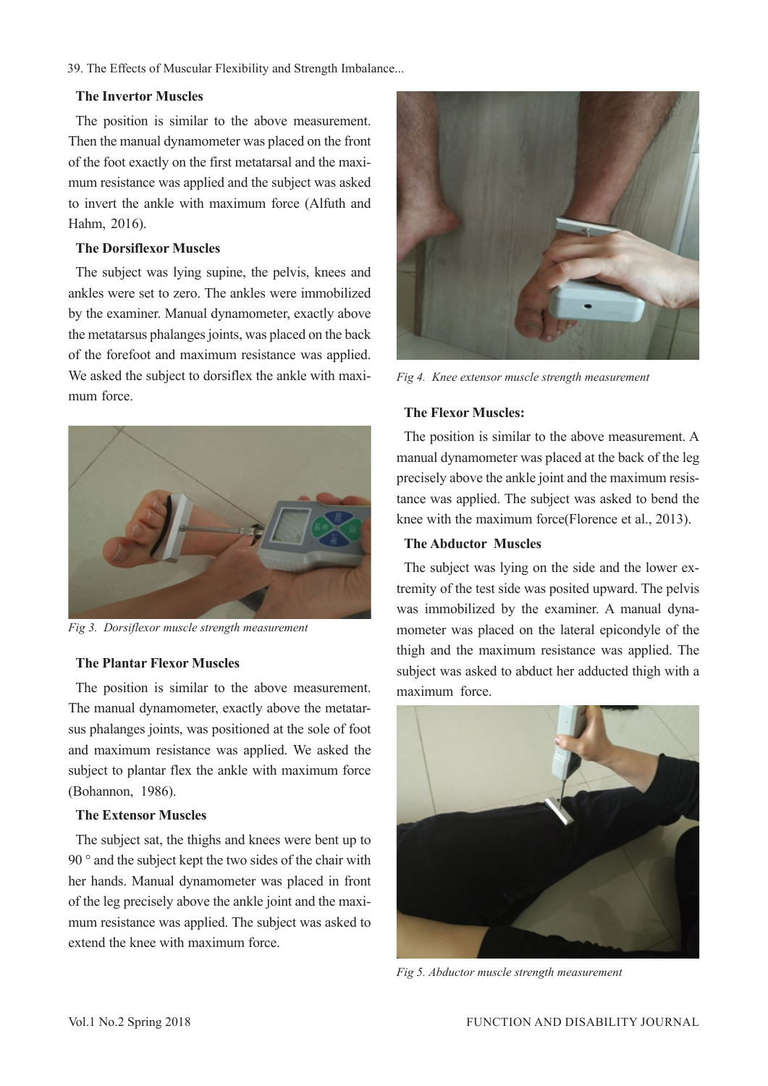#### **The Invertor Muscles**

The position is similar to the above measurement. Then the manual dynamometer was placed on the front of the foot exactly on the first metatarsal and the maximum resistance was applied and the subject was asked to invert the ankle with maximum force (Alfuth and Hahm, 2016).

### **The Dorsiflexor Muscles**

The subject was lying supine, the pelvis, knees and ankles were set to zero. The ankles were immobilized by the examiner. Manual dynamometer, exactly above the metatarsus phalanges joints, was placed on the back of the forefoot and maximum resistance was applied. We asked the subject to dorsiflex the ankle with maximum force.



*Fig 3. Dorsiflexor muscle strength measurement*

#### **The Plantar Flexor Muscles**

The position is similar to the above measurement. The manual dynamometer, exactly above the metatarsus phalanges joints, was positioned at the sole of foot and maximum resistance was applied. We asked the subject to plantar flex the ankle with maximum force (Bohannon, 1986).

#### **The Extensor Muscles**

The subject sat, the thighs and knees were bent up to 90 ° and the subject kept the two sides of the chair with her hands. Manual dynamometer was placed in front of the leg precisely above the ankle joint and the maximum resistance was applied. The subject was asked to extend the knee with maximum force.



*Fig 4. Knee extensor muscle strength measurement*

#### **The Flexor Muscles:**

The position is similar to the above measurement. A manual dynamometer was placed at the back of the leg precisely above the ankle joint and the maximum resistance was applied. The subject was asked to bend the knee with the maximum force(Florence et al., 2013).

# **The Abductor Muscles**

The subject was lying on the side and the lower extremity of the test side was posited upward. The pelvis was immobilized by the examiner. A manual dynamometer was placed on the lateral epicondyle of the thigh and the maximum resistance was applied. The subject was asked to abduct her adducted thigh with a maximum force.



*Fig 5. Abductor muscle strength measurement*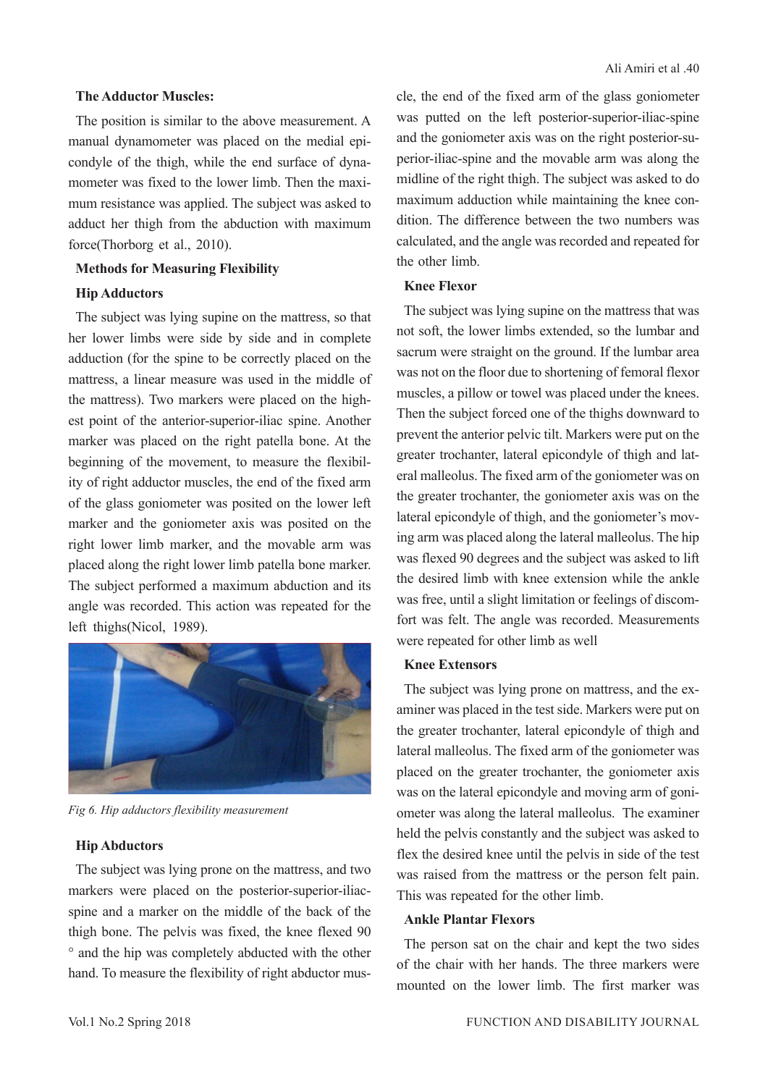#### **The Adductor Muscles:**

The position is similar to the above measurement. A manual dynamometer was placed on the medial epicondyle of the thigh, while the end surface of dynamometer was fixed to the lower limb. Then the maximum resistance was applied. The subject was asked to adduct her thigh from the abduction with maximum force(Thorborg et al., 2010).

#### **Methods for Measuring Flexibility**

#### **Hip Adductors**

The subject was lying supine on the mattress, so that her lower limbs were side by side and in complete adduction (for the spine to be correctly placed on the mattress, a linear measure was used in the middle of the mattress). Two markers were placed on the highest point of the anterior-superior-iliac spine. Another marker was placed on the right patella bone. At the beginning of the movement, to measure the flexibility of right adductor muscles, the end of the fixed arm of the glass goniometer was posited on the lower left marker and the goniometer axis was posited on the right lower limb marker, and the movable arm was placed along the right lower limb patella bone marker. The subject performed a maximum abduction and its angle was recorded. This action was repeated for the left thighs(Nicol, 1989).



*Fig 6. Hip adductors flexibility measurement*

#### **Hip Abductors**

The subject was lying prone on the mattress, and two markers were placed on the posterior-superior-iliacspine and a marker on the middle of the back of the thigh bone. The pelvis was fixed, the knee flexed 90 ° and the hip was completely abducted with the other hand. To measure the flexibility of right abductor muscle, the end of the fixed arm of the glass goniometer was putted on the left posterior-superior-iliac-spine and the goniometer axis was on the right posterior-superior-iliac-spine and the movable arm was along the midline of the right thigh. The subject was asked to do maximum adduction while maintaining the knee condition. The difference between the two numbers was calculated, and the angle was recorded and repeated for the other limb.

#### **Knee Flexor**

The subject was lying supine on the mattress that was not soft, the lower limbs extended, so the lumbar and sacrum were straight on the ground. If the lumbar area was not on the floor due to shortening of femoral flexor muscles, a pillow or towel was placed under the knees. Then the subject forced one of the thighs downward to prevent the anterior pelvic tilt. Markers were put on the greater trochanter, lateral epicondyle of thigh and lateral malleolus. The fixed arm of the goniometer was on the greater trochanter, the goniometer axis was on the lateral epicondyle of thigh, and the goniometer's moving arm was placed along the lateral malleolus. The hip was flexed 90 degrees and the subject was asked to lift the desired limb with knee extension while the ankle was free, until a slight limitation or feelings of discomfort was felt. The angle was recorded. Measurements were repeated for other limb as well

#### **Knee Extensors**

The subject was lying prone on mattress, and the examiner was placed in the test side. Markers were put on the greater trochanter, lateral epicondyle of thigh and lateral malleolus. The fixed arm of the goniometer was placed on the greater trochanter, the goniometer axis was on the lateral epicondyle and moving arm of goniometer was along the lateral malleolus. The examiner held the pelvis constantly and the subject was asked to flex the desired knee until the pelvis in side of the test was raised from the mattress or the person felt pain. This was repeated for the other limb.

#### **Ankle Plantar Flexors**

The person sat on the chair and kept the two sides of the chair with her hands. The three markers were mounted on the lower limb. The first marker was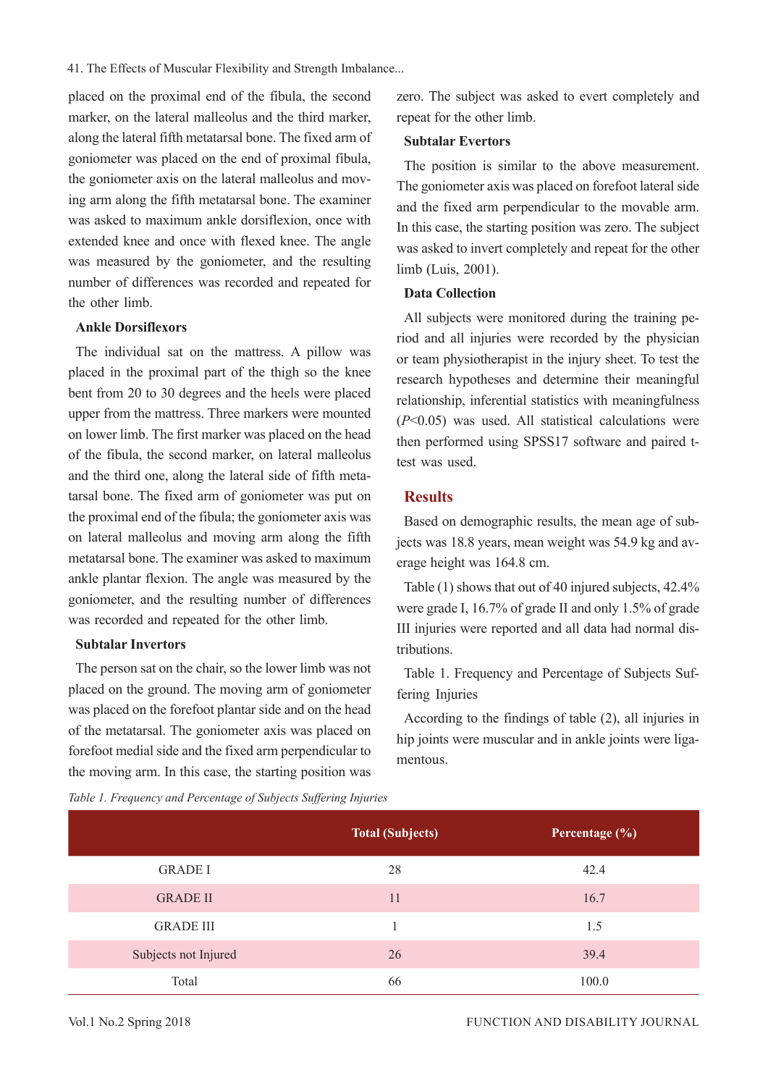placed on the proximal end of the fibula, the second marker, on the lateral malleolus and the third marker, along the lateral fifth metatarsal bone. The fixed arm of goniometer was placed on the end of proximal fibula, the goniometer axis on the lateral malleolus and moving arm along the fifth metatarsal bone. The examiner was asked to maximum ankle dorsiflexion, once with extended knee and once with flexed knee. The angle was measured by the goniometer, and the resulting number of differences was recorded and repeated for the other limb.

# **Ankle Dorsiflexors**

The individual sat on the mattress. A pillow was placed in the proximal part of the thigh so the knee bent from 20 to 30 degrees and the heels were placed upper from the mattress. Three markers were mounted on lower limb. The first marker was placed on the head of the fibula, the second marker, on lateral malleolus and the third one, along the lateral side of fifth metatarsal bone. The fixed arm of goniometer was put on the proximal end of the fibula; the goniometer axis was on lateral malleolus and moving arm along the fifth metatarsal bone. The examiner was asked to maximum ankle plantar flexion. The angle was measured by the goniometer, and the resulting number of differences was recorded and repeated for the other limb.

#### **Subtalar Invertors**

The person sat on the chair, so the lower limb was not placed on the ground. The moving arm of goniometer was placed on the forefoot plantar side and on the head of the metatarsal. The goniometer axis was placed on forefoot medial side and the fixed arm perpendicular to the moving arm. In this case, the starting position was zero. The subject was asked to evert completely and repeat for the other limb.

#### **Subtalar Evertors**

The position is similar to the above measurement. The goniometer axis was placed on forefoot lateral side and the fixed arm perpendicular to the movable arm. In this case, the starting position was zero. The subject was asked to invert completely and repeat for the other limb (Luis, 2001).

#### **Data Collection**

All subjects were monitored during the training period and all injuries were recorded by the physician or team physiotherapist in the injury sheet. To test the research hypotheses and determine their meaningful relationship, inferential statistics with meaningfulness (*P*<0.05) was used. All statistical calculations were then performed using SPSS17 software and paired ttest was used.

## **Results**

Based on demographic results, the mean age of subjects was 18.8 years, mean weight was 54.9 kg and average height was 164.8 cm.

Table (1) shows that out of 40 injured subjects, 42.4% were grade I, 16.7% of grade II and only 1.5% of grade III injuries were reported and all data had normal distributions.

Table 1. Frequency and Percentage of Subjects Suffering Injuries

According to the findings of table (2), all injuries in hip joints were muscular and in ankle joints were ligamentous.

|                      | <b>Total (Subjects)</b> | Percentage (%) |
|----------------------|-------------------------|----------------|
| <b>GRADE I</b>       | 28                      | 42.4           |
| <b>GRADE II</b>      | 11                      | 16.7           |
| <b>GRADE III</b>     |                         | 1.5            |
| Subjects not Injured | 26                      | 39.4           |
| Total                | 66                      | 100.0          |

*Table 1. Frequency and Percentage of Subjects Suffering Injuries*

#### Vol.1 No.2 Spring 2018 **FUNCTION AND DISABILITY JOURNAL**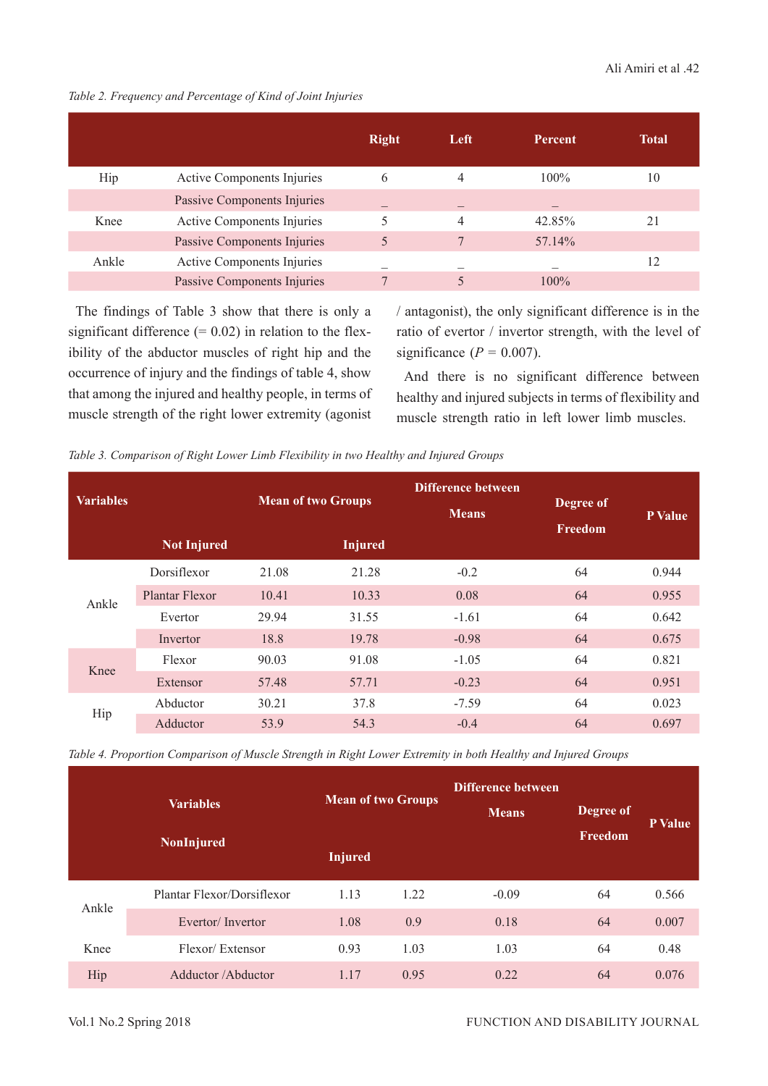|       |                                   | <b>Right</b> | Left | Percent | Total |
|-------|-----------------------------------|--------------|------|---------|-------|
| Hip   | <b>Active Components Injuries</b> | 6            | 4    | $100\%$ | 10    |
|       | Passive Components Injuries       |              |      |         |       |
| Knee  | <b>Active Components Injuries</b> | ς            | 4    | 42.85%  | 21    |
|       | Passive Components Injuries       | 5            |      | 57.14%  |       |
| Ankle | Active Components Injuries        |              |      |         | 12    |
|       | Passive Components Injuries       | $\mathbf{r}$ | 5    | $100\%$ |       |

## *Table 2. Frequency and Percentage of Kind of Joint Injuries*

The findings of Table 3 show that there is only a significant difference  $(= 0.02)$  in relation to the flexibility of the abductor muscles of right hip and the occurrence of injury and the findings of table 4, show that among the injured and healthy people, in terms of muscle strength of the right lower extremity (agonist

/ antagonist), the only significant difference is in the ratio of evertor / invertor strength, with the level of significance  $(P = 0.007)$ .

And there is no significant difference between healthy and injured subjects in terms of flexibility and muscle strength ratio in left lower limb muscles.

| <b>Variables</b> |                    |       | <b>Mean of two Groups</b> | <b>Difference between</b><br><b>Means</b> | Degree of<br>Freedom | P Value |
|------------------|--------------------|-------|---------------------------|-------------------------------------------|----------------------|---------|
|                  | <b>Not Injured</b> |       | <b>Injured</b>            |                                           |                      |         |
|                  | Dorsiflexor        | 21.08 | 21.28                     | $-0.2$                                    | 64                   | 0.944   |
| Ankle            | Plantar Flexor     | 10.41 | 10.33                     | 0.08                                      | 64                   | 0.955   |
|                  | Evertor            | 29.94 | 31.55                     | $-1.61$                                   | 64                   | 0.642   |
|                  | Invertor           | 18.8  | 19.78                     | $-0.98$                                   | 64                   | 0.675   |
| Knee             | Flexor             | 90.03 | 91.08                     | $-1.05$                                   | 64                   | 0.821   |
|                  | Extensor           | 57.48 | 57.71                     | $-0.23$                                   | 64                   | 0.951   |
| Hip              | Abductor           | 30.21 | 37.8                      | $-7.59$                                   | 64                   | 0.023   |
|                  | Adductor           | 53.9  | 54.3                      | $-0.4$                                    | 64                   | 0.697   |

*Table 4. Proportion Comparison of Muscle Strength in Right Lower Extremity in both Healthy and Injured Groups*

|       | <b>Variables</b><br><b>NonInjured</b> | <b>Mean of two Groups</b><br><b>Injured</b> |      | Difference between<br><b>Means</b> | Degree of<br>Freedom | <b>P</b> Value |
|-------|---------------------------------------|---------------------------------------------|------|------------------------------------|----------------------|----------------|
| Ankle | Plantar Flexor/Dorsiflexor            | 1.13                                        | 1.22 | $-0.09$                            | 64                   | 0.566          |
|       | Evertor/Invertor                      | 1.08                                        | 0.9  | 0.18                               | 64                   | 0.007          |
| Knee  | Flexor/Extensor                       | 0.93                                        | 1.03 | 1.03                               | 64                   | 0.48           |
| Hip   | Adductor / Abductor                   | 1.17                                        | 0.95 | 0.22                               | 64                   | 0.076          |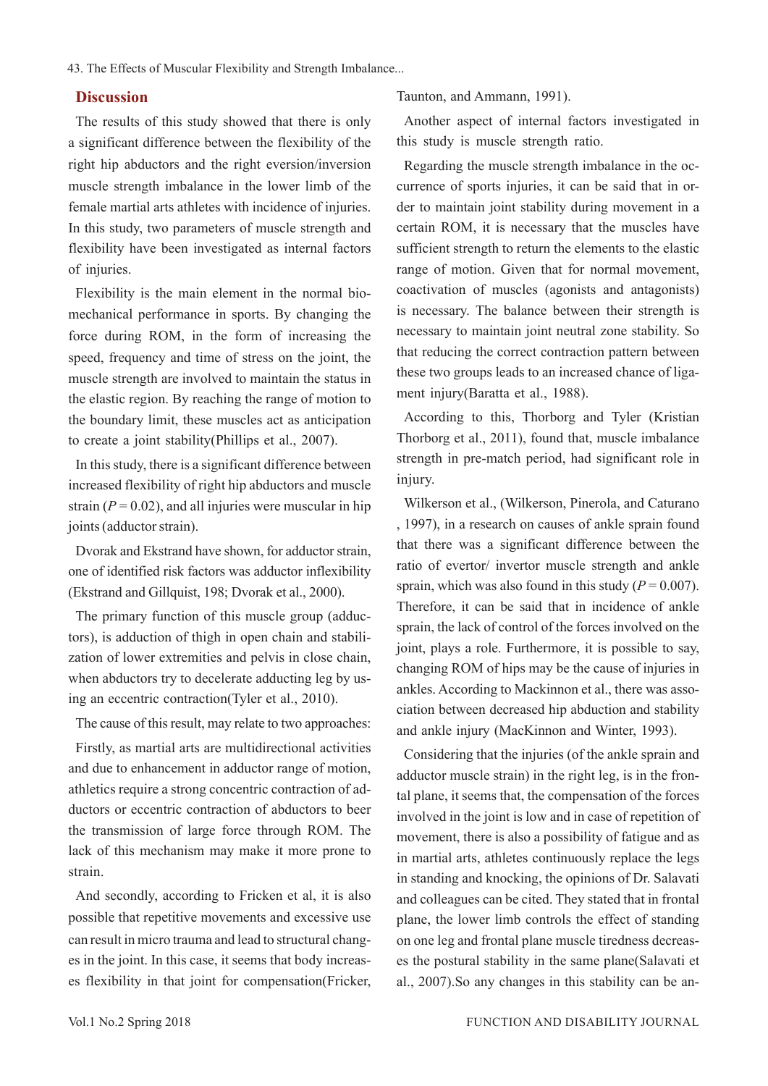#### **Discussion**

The results of this study showed that there is only a significant difference between the flexibility of the right hip abductors and the right eversion/inversion muscle strength imbalance in the lower limb of the female martial arts athletes with incidence of injuries. In this study, two parameters of muscle strength and flexibility have been investigated as internal factors of injuries.

Flexibility is the main element in the normal biomechanical performance in sports. By changing the force during ROM, in the form of increasing the speed, frequency and time of stress on the joint, the muscle strength are involved to maintain the status in the elastic region. By reaching the range of motion to the boundary limit, these muscles act as anticipation to create a joint stability(Phillips et al., 2007).

In this study, there is a significant difference between increased flexibility of right hip abductors and muscle strain  $(P = 0.02)$ , and all injuries were muscular in hip joints (adductor strain).

Dvorak and Ekstrand have shown, for adductor strain, one of identified risk factors was adductor inflexibility (Ekstrand and Gillquist, 198; Dvorak et al., 2000).

The primary function of this muscle group (adductors), is adduction of thigh in open chain and stabilization of lower extremities and pelvis in close chain, when abductors try to decelerate adducting leg by using an eccentric contraction(Tyler et al., 2010).

The cause of this result, may relate to two approaches:

Firstly, as martial arts are multidirectional activities and due to enhancement in adductor range of motion, athletics require a strong concentric contraction of adductors or eccentric contraction of abductors to beer the transmission of large force through ROM. The lack of this mechanism may make it more prone to strain.

And secondly, according to Fricken et al, it is also possible that repetitive movements and excessive use can result in micro trauma and lead to structural changes in the joint. In this case, it seems that body increases flexibility in that joint for compensation(Fricker, Taunton, and Ammann, 1991).

Another aspect of internal factors investigated in this study is muscle strength ratio.

Regarding the muscle strength imbalance in the occurrence of sports injuries, it can be said that in order to maintain joint stability during movement in a certain ROM, it is necessary that the muscles have sufficient strength to return the elements to the elastic range of motion. Given that for normal movement, coactivation of muscles (agonists and antagonists) is necessary. The balance between their strength is necessary to maintain joint neutral zone stability. So that reducing the correct contraction pattern between these two groups leads to an increased chance of ligament injury(Baratta et al., 1988).

According to this, Thorborg and Tyler (Kristian Thorborg et al., 2011), found that, muscle imbalance strength in pre-match period, had significant role in injury.

Wilkerson et al., (Wilkerson, Pinerola, and Caturano , 1997), in a research on causes of ankle sprain found that there was a significant difference between the ratio of evertor/ invertor muscle strength and ankle sprain, which was also found in this study  $(P = 0.007)$ . Therefore, it can be said that in incidence of ankle sprain, the lack of control of the forces involved on the joint, plays a role. Furthermore, it is possible to say, changing ROM of hips may be the cause of injuries in ankles. According to Mackinnon et al., there was association between decreased hip abduction and stability and ankle injury (MacKinnon and Winter, 1993).

Considering that the injuries (of the ankle sprain and adductor muscle strain) in the right leg, is in the frontal plane, it seems that, the compensation of the forces involved in the joint is low and in case of repetition of movement, there is also a possibility of fatigue and as in martial arts, athletes continuously replace the legs in standing and knocking, the opinions of Dr. Salavati and colleagues can be cited. They stated that in frontal plane, the lower limb controls the effect of standing on one leg and frontal plane muscle tiredness decreases the postural stability in the same plane(Salavati et al., 2007).So any changes in this stability can be an-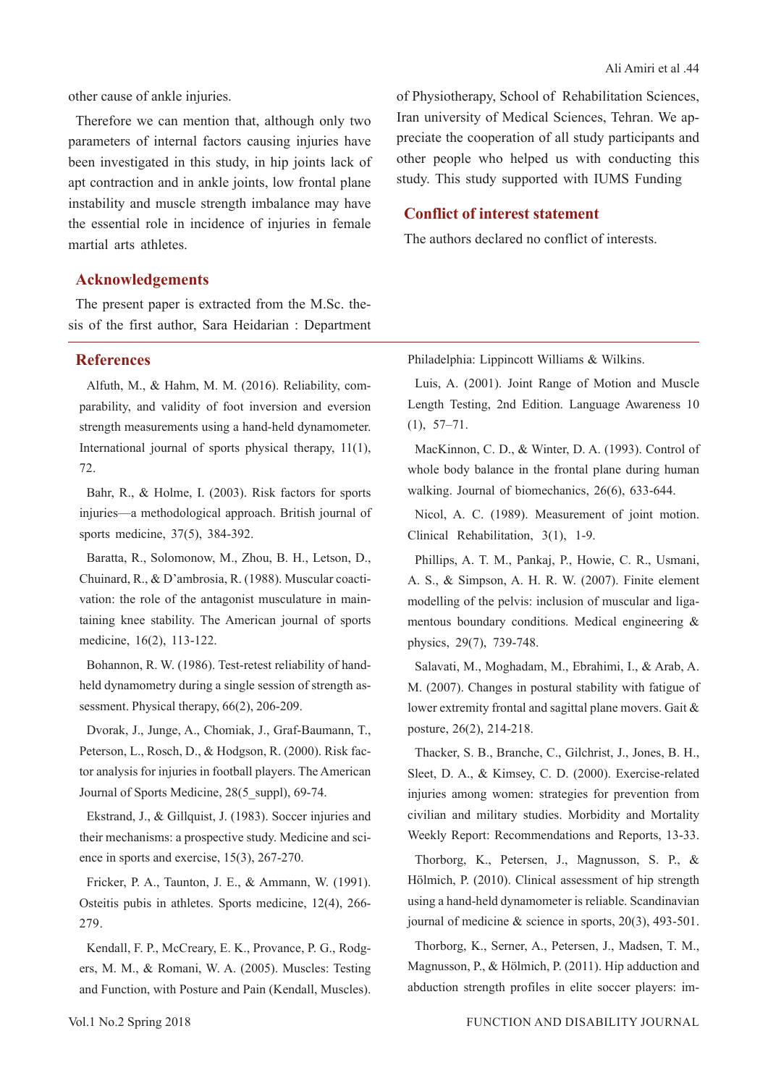Therefore we can mention that, although only two parameters of internal factors causing injuries have been investigated in this study, in hip joints lack of apt contraction and in ankle joints, low frontal plane instability and muscle strength imbalance may have the essential role in incidence of injuries in female martial arts athletes.

of Physiotherapy, School of Rehabilitation Sciences, Iran university of Medical Sciences, Tehran. We appreciate the cooperation of all study participants and other people who helped us with conducting this study. This study supported with IUMS Funding

### **Conflict of interest statement**

The authors declared no conflict of interests.

# **Acknowledgements**

The present paper is extracted from the M.Sc. thesis of the first author, Sara Heidarian : Department

# **References**

Alfuth, M., & Hahm, M. M. (2016). Reliability, comparability, and validity of foot inversion and eversion strength measurements using a hand-held dynamometer. International journal of sports physical therapy, 11(1), 72.

Bahr, R., & Holme, I. (2003). Risk factors for sports injuries—a methodological approach. British journal of sports medicine, 37(5), 384-392.

Baratta, R., Solomonow, M., Zhou, B. H., Letson, D., Chuinard, R., & D'ambrosia, R. (1988). Muscular coactivation: the role of the antagonist musculature in maintaining knee stability. The American journal of sports medicine, 16(2), 113-122.

Bohannon, R. W. (1986). Test-retest reliability of handheld dynamometry during a single session of strength assessment. Physical therapy, 66(2), 206-209.

Dvorak, J., Junge, A., Chomiak, J., Graf-Baumann, T., Peterson, L., Rosch, D., & Hodgson, R. (2000). Risk factor analysis for injuries in football players. The American Journal of Sports Medicine, 28(5 suppl), 69-74.

Ekstrand, J., & Gillquist, J. (1983). Soccer injuries and their mechanisms: a prospective study. Medicine and science in sports and exercise, 15(3), 267-270.

Fricker, P. A., Taunton, J. E., & Ammann, W. (1991). Osteitis pubis in athletes. Sports medicine, 12(4), 266- 279.

Kendall, F. P., McCreary, E. K., Provance, P. G., Rodgers, M. M., & Romani, W. A. (2005). Muscles: Testing and Function, with Posture and Pain (Kendall, Muscles). Philadelphia: Lippincott Williams & Wilkins.

Luis, A. (2001). Joint Range of Motion and Muscle Length Testing, 2nd Edition. Language Awareness 10 (1), 57–71.

MacKinnon, C. D., & Winter, D. A. (1993). Control of whole body balance in the frontal plane during human walking. Journal of biomechanics, 26(6), 633-644.

Nicol, A. C. (1989). Measurement of joint motion. Clinical Rehabilitation, 3(1), 1-9.

Phillips, A. T. M., Pankaj, P., Howie, C. R., Usmani, A. S., & Simpson, A. H. R. W. (2007). Finite element modelling of the pelvis: inclusion of muscular and ligamentous boundary conditions. Medical engineering & physics, 29(7), 739-748.

Salavati, M., Moghadam, M., Ebrahimi, I., & Arab, A. M. (2007). Changes in postural stability with fatigue of lower extremity frontal and sagittal plane movers. Gait & posture, 26(2), 214-218.

Thacker, S. B., Branche, C., Gilchrist, J., Jones, B. H., Sleet, D. A., & Kimsey, C. D. (2000). Exercise-related injuries among women: strategies for prevention from civilian and military studies. Morbidity and Mortality Weekly Report: Recommendations and Reports, 13-33.

Thorborg, K., Petersen, J., Magnusson, S. P., & Hölmich, P. (2010). Clinical assessment of hip strength using a hand‐held dynamometer is reliable. Scandinavian journal of medicine & science in sports, 20(3), 493-501.

Thorborg, K., Serner, A., Petersen, J., Madsen, T. M., Magnusson, P., & Hölmich, P. (2011). Hip adduction and abduction strength profiles in elite soccer players: im-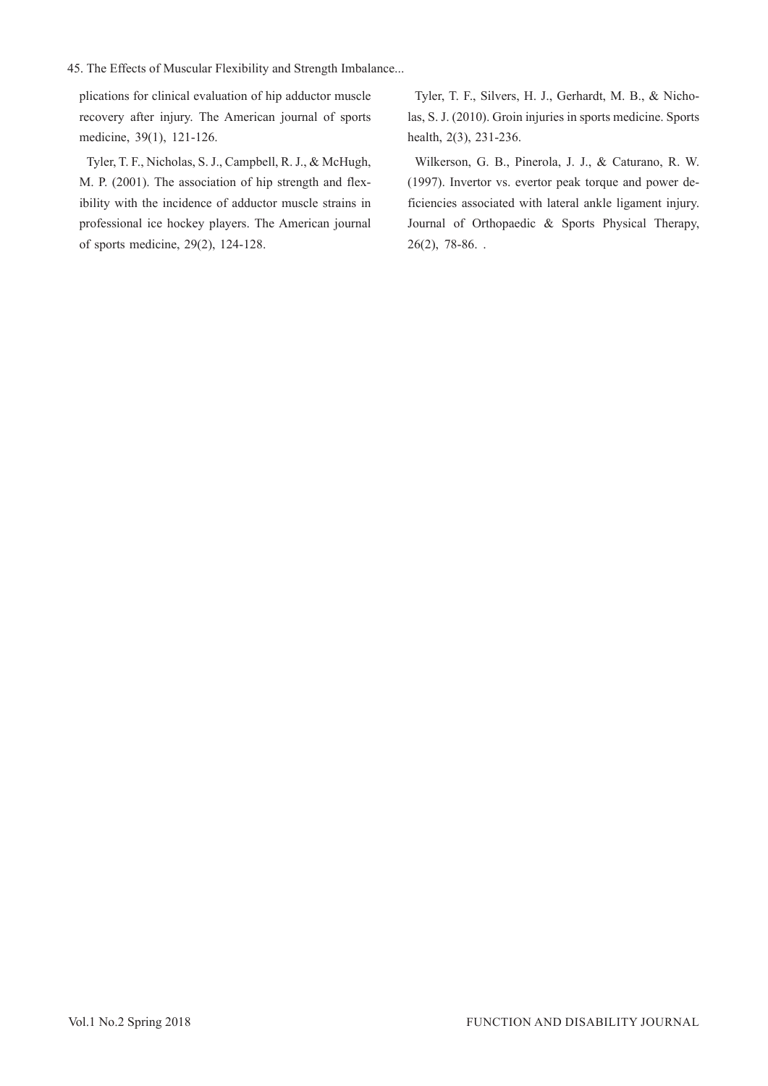plications for clinical evaluation of hip adductor muscle recovery after injury. The American journal of sports medicine, 39(1), 121-126.

Tyler, T. F., Nicholas, S. J., Campbell, R. J., & McHugh, M. P. (2001). The association of hip strength and flexibility with the incidence of adductor muscle strains in professional ice hockey players. The American journal of sports medicine, 29(2), 124-128.

Tyler, T. F., Silvers, H. J., Gerhardt, M. B., & Nicholas, S. J. (2010). Groin injuries in sports medicine. Sports health, 2(3), 231-236.

Wilkerson, G. B., Pinerola, J. J., & Caturano, R. W. (1997). Invertor vs. evertor peak torque and power deficiencies associated with lateral ankle ligament injury. Journal of Orthopaedic & Sports Physical Therapy, 26(2), 78-86. .